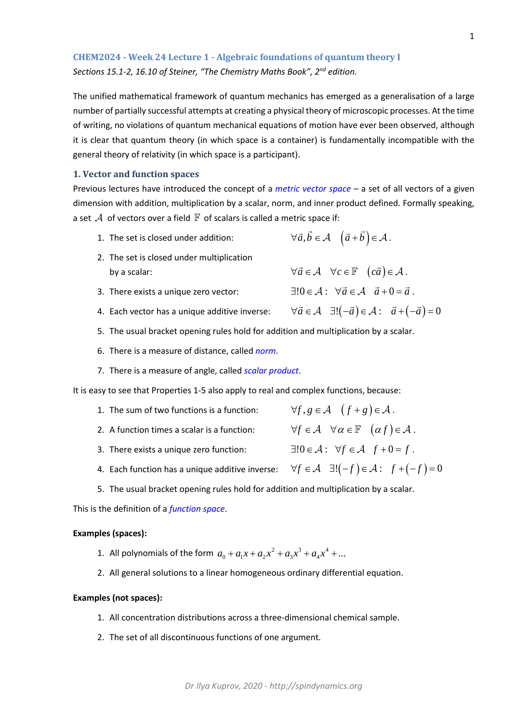**CHEM2024 - Week 24 Lecture 1 - Algebraic foundations of quantum theory I** *Sections 15.1-2, 16.10 of Steiner, "The Chemistry Maths Book", 2nd edition.*

The unified mathematical framework of quantum mechanics has emerged as a generalisation of a large number of partially successful attempts at creating a physical theory of microscopic processes. At the time of writing, no violations of quantum mechanical equations of motion have ever been observed, although it is clear that quantum theory (in which space is a container) is fundamentally incompatible with the general theory of relativity (in which space is a participant).

# **1. Vector and function spaces**

Previous lectures have introduced the concept of a *metric vector space –* a set of all vectors of a given dimension with addition, multiplication by a scalar, norm, and inner product defined. Formally speaking, a set  $\mathcal A$  of vectors over a field  $\mathbb F$  of scalars is called a metric space if:

- 1. The set is closed under addition:  $\forall \vec{a}, \vec{b} \in \mathcal{A} \quad (\vec{a} + \vec{b}) \in \mathcal{A}$ .
- 2. The set is closed under multiplication by a scalar:  $\forall \vec{a} \in \mathcal{A} \quad \forall c \in \mathbb{F} \quad (c\vec{a}) \in \mathcal{A}$ .
- 3. There exists a unique zero vector:  $\exists!0 \in \mathcal{A}: \ \forall \vec{a} \in \mathcal{A} \ \ \vec{a} + 0 = \vec{a}.$
- 4. Each vector has a unique additive inverse:  $\forall \vec{a} \in \mathcal{A} \quad \exists ! (-\vec{a}) \in \mathcal{A} : \quad \vec{a} + (-\vec{a}) = 0$
- 5. The usual bracket opening rules hold for addition and multiplication by a scalar.
- 6. There is a measure of distance, called *norm*.
- 7. There is a measure of angle, called *scalar product*.

It is easy to see that Properties 1-5 also apply to real and complex functions, because:

- 1. The sum of two functions is a function:  $\forall f, g \in \mathcal{A} \quad (f + g) \in \mathcal{A}$ .
- 2. A function times a scalar is a function:  $\forall f \in \mathcal{A} \quad \forall \alpha \in \mathbb{F} \quad (\alpha f) \in \mathcal{A}$ .
- 3. There exists a unique zero function:  $\exists ! 0 \in \mathcal{A}: \forall f \in \mathcal{A} \text{ } f+0=f.$
- 4. Each function has a unique additive inverse:  $\forall f \in \mathcal{A}$   $\exists ! (-f) \in \mathcal{A}$ :  $f + (-f) = 0$
- 5. The usual bracket opening rules hold for addition and multiplication by a scalar.

This is the definition of a *function space*.

## **Examples (spaces):**

- 1. All polynomials of the form  $a_0 + a_1x + a_2x^2 + a_3x^3 + a_4x^4 + ...$
- 2. All general solutions to a linear homogeneous ordinary differential equation.

### **Examples (not spaces):**

- 1. All concentration distributions across a three-dimensional chemical sample.
- 2. The set of all discontinuous functions of one argument.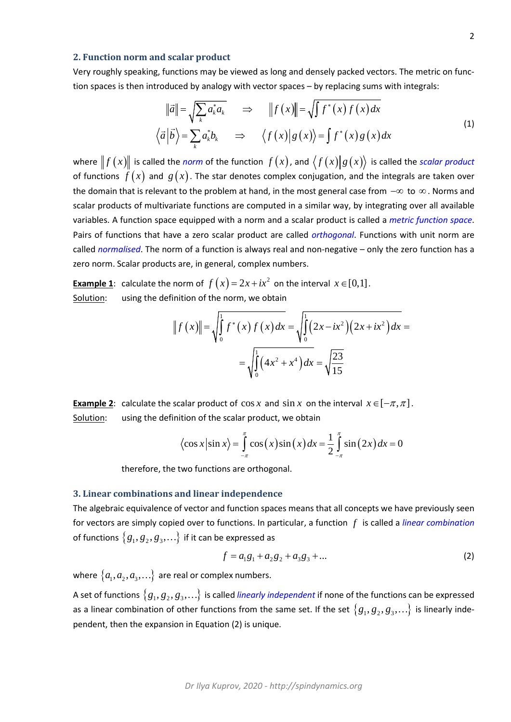## **2. Function norm and scalar product**

Very roughly speaking, functions may be viewed as long and densely packed vectors. The metric on function spaces is then introduced by analogy with vector spaces – by replacing sums with integrals:

$$
\|\vec{a}\| = \sqrt{\sum_{k} a_{k}^{*} a_{k}} \quad \Rightarrow \quad \|f(x)\| = \sqrt{\int f^{*}(x) f(x) dx}
$$
\n
$$
\langle \vec{a} | \vec{b} \rangle = \sum_{k} a_{k}^{*} b_{k} \quad \Rightarrow \quad \langle f(x) | g(x) \rangle = \int f^{*}(x) g(x) dx \tag{1}
$$

where  $||f(x)||$  is called the *norm* of the function  $f(x)$ , and  $\langle f(x)||g(x)\rangle$  is called the *scalar product* of functions  $f(x)$  and  $g(x)$ . The star denotes complex conjugation, and the integrals are taken over the domain that is relevant to the problem at hand, in the most general case from −∞ to ∞ . Norms and scalar products of multivariate functions are computed in a similar way, by integrating over all available variables. A function space equipped with a norm and a scalar product is called a *metric function space*. Pairs of functions that have a zero scalar product are called *orthogonal*. Functions with unit norm are called *normalised*. The norm of a function is always real and non-negative – only the zero function has a zero norm. Scalar products are, in general, complex numbers.

**Example 1**: calculate the norm of  $f(x) = 2x + ix^2$  on the interval  $x \in [0,1]$ . Solution: using the definition of the norm, we obtain

$$
||f(x)|| = \sqrt{\int_0^1 f^*(x) f(x) dx} = \sqrt{\int_0^1 (2x - ix^2) (2x + ix^2) dx} = \sqrt{\int_0^1 (4x^2 + x^4) dx} = \sqrt{\frac{23}{15}}
$$

**Example 2:** calculate the scalar product of  $\cos x$  and  $\sin x$  on the interval  $x \in [-\pi, \pi]$ . Solution: using the definition of the scalar product, we obtain

$$
\langle \cos x | \sin x \rangle = \int_{-\pi}^{\pi} \cos(x) \sin(x) dx = \frac{1}{2} \int_{-\pi}^{\pi} \sin(2x) dx = 0
$$

therefore, the two functions are orthogonal.

# **3. Linear combinations and linear independence**

The algebraic equivalence of vector and function spaces means that all concepts we have previously seen for vectors are simply copied over to functions. In particular, a function *f* is called a *linear combination* of functions  $\{g_1, g_2, g_3, ...\}$  if it can be expressed as

$$
f = a_1 g_1 + a_2 g_2 + a_3 g_3 + \dots
$$
 (2)

where  $\{a_1, a_2, a_3, ...\}$  are real or complex numbers.

A set of functions  $\{g_1, g_2, g_3, ...\}$  is called *linearly independent* if none of the functions can be expressed as a linear combination of other functions from the same set. If the set  $\{g_1, g_2, g_3, ...\}$  is linearly independent, then the expansion in Equation (2) is unique.